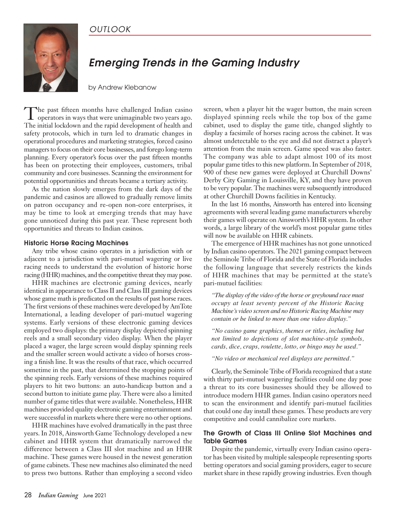## *OUTLOOK*



## *Emerging Trends in the Gaming Industry*

by Andrew Klebanow

The past fifteen months have challenged Indian casino<br>operators in ways that were unimaginable two years ago. The initial lockdown and the rapid development of health and safety protocols, which in turn led to dramatic changes in operational procedures and marketing strategies, forced casino managers to focus on their core businesses, and forego long-term planning. Every operator's focus over the past fifteen months has been on protecting their employees, customers, tribal community and core businesses. Scanning the environment for potential opportunities and threats became a tertiary activity.

As the nation slowly emerges from the dark days of the pandemic and casinos are allowed to gradually remove limits on patron occupancy and re-open non-core enterprises, it may be time to look at emerging trends that may have gone unnoticed during this past year. These represent both opportunities and threats to Indian casinos.

## **Historic Horse Racing Machines**

Any tribe whose casino operates in a jurisdiction with or adjacent to a jurisdiction with pari-mutuel wagering or live racing needs to understand the evolution of historic horse racing (HHR) machines, and the competitive threat they may pose.

HHR machines are electronic gaming devices, nearly identical in appearance to Class II and Class III gaming devices whose game math is predicated on the results of past horse races. The first versions of these machines were developed by AmTote International, a leading developer of pari-mutuel wagering systems. Early versions of these electronic gaming devices employed two displays: the primary display depicted spinning reels and a small secondary video display. When the player placed a wager, the large screen would display spinning reels and the smaller screen would activate a video of horses crossing a finish line. It was the results of that race, which occurred sometime in the past, that determined the stopping points of the spinning reels. Early versions of these machines required players to hit two buttons: an auto-handicap button and a second button to initiate game play. There were also a limited number of game titles that were available. Nonetheless, HHR machines provided quality electronic gaming entertainment and were successful in markets where there were no other options.

HHR machines have evolved dramatically in the past three years. In 2018, Ainsworth Game Technology developed a new cabinet and HHR system that dramatically narrowed the difference between a Class III slot machine and an HHR machine. These games were housed in the newest generation of game cabinets. These new machines also eliminated the need to press two buttons. Rather than employing a second video screen, when a player hit the wager button, the main screen displayed spinning reels while the top box of the game cabinet, used to display the game title, changed slightly to display a facsimile of horses racing across the cabinet. It was almost undetectable to the eye and did not distract a player's attention from the main screen. Game speed was also faster. The company was able to adapt almost 100 of its most popular game titles to this new platform. In September of 2018, 900 of these new games were deployed at Churchill Downs' Derby City Gaming in Louisville, KY, and they have proven to be very popular. The machines were subsequently introduced at other Churchill Downs facilities in Kentucky.

In the last 16 months, Ainsworth has entered into licensing agreements with several leading game manufacturers whereby their games will operate on Ainsworth's HHR system. In other words, a large library of the world's most popular game titles will now be available on HHR cabinets.

The emergence of HHR machines has not gone unnoticed by Indian casino operators. The 2021 gaming compact between the Seminole Tribe of Florida and the State of Florida includes the following language that severely restricts the kinds of HHR machines that may be permitted at the state's pari-mutuel facilities:

*"The display of the video of the horse or greyhound race must occupy at least seventy percent of the Historic Racing Machine's video screen and no Historic Racing Machine may contain or be linked to more than one video display."*

*"No casino game graphics, themes or titles, including but not limited to depictions of slot machine-style symbols, cards, dice, craps, roulette, lotto, or bingo may be used."*

*"No video or mechanical reel displays are permitted."*

Clearly, the Seminole Tribe of Florida recognized that a state with thirty pari-mutuel wagering facilities could one day pose a threat to its core businesses should they be allowed to introduce modern HHR games. Indian casino operators need to scan the environment and identify pari-mutuel facilities that could one day install these games. These products are very competitive and could cannibalize core markets.

## **The Growth of Class III Online Slot Machines and Table Games**

Despite the pandemic, virtually every Indian casino operator has been visited by multiple salespeople representing sports betting operators and social gaming providers, eager to secure market share in these rapidly growing industries. Even though